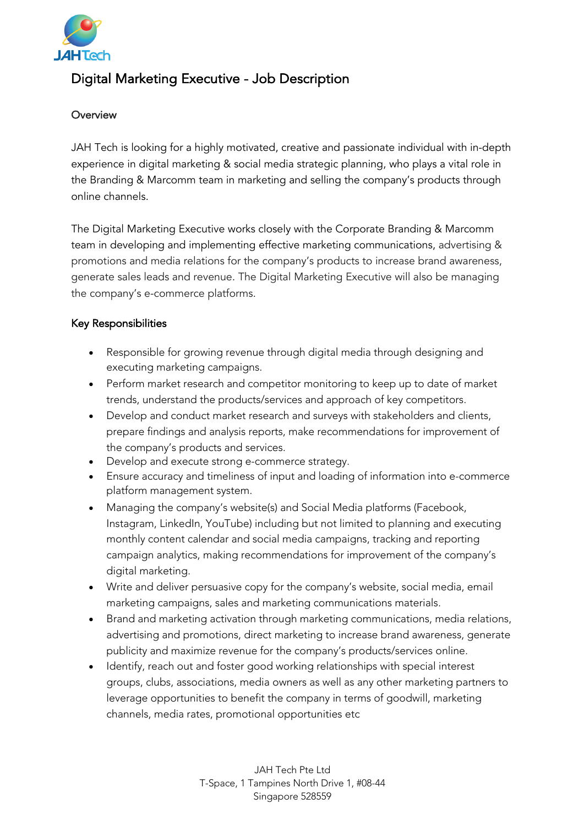

## Digital Marketing Executive - Job Description

## **Overview**

JAH Tech is looking for a highly motivated, creative and passionate individual with in-depth experience in digital marketing & social media strategic planning, who plays a vital role in the Branding & Marcomm team in marketing and selling the company's products through online channels.

The Digital Marketing Executive works closely with the Corporate Branding & Marcomm team in developing and implementing effective marketing communications, advertising & promotions and media relations for the company's products to increase brand awareness, generate sales leads and revenue. The Digital Marketing Executive will also be managing the company's e-commerce platforms.

## Key Responsibilities

- Responsible for growing revenue through digital media through designing and executing marketing campaigns.
- Perform market research and competitor monitoring to keep up to date of market trends, understand the products/services and approach of key competitors.
- Develop and conduct market research and surveys with stakeholders and clients, prepare findings and analysis reports, make recommendations for improvement of the company's products and services.
- Develop and execute strong e-commerce strategy.
- Ensure accuracy and timeliness of input and loading of information into e-commerce platform management system.
- Managing the company's website(s) and Social Media platforms (Facebook, Instagram, LinkedIn, YouTube) including but not limited to planning and executing monthly content calendar and social media campaigns, tracking and reporting campaign analytics, making recommendations for improvement of the company's digital marketing.
- Write and deliver persuasive copy for the company's website, social media, email marketing campaigns, sales and marketing communications materials.
- Brand and marketing activation through marketing communications, media relations, advertising and promotions, direct marketing to increase brand awareness, generate publicity and maximize revenue for the company's products/services online.
- Identify, reach out and foster good working relationships with special interest groups, clubs, associations, media owners as well as any other marketing partners to leverage opportunities to benefit the company in terms of goodwill, marketing channels, media rates, promotional opportunities etc